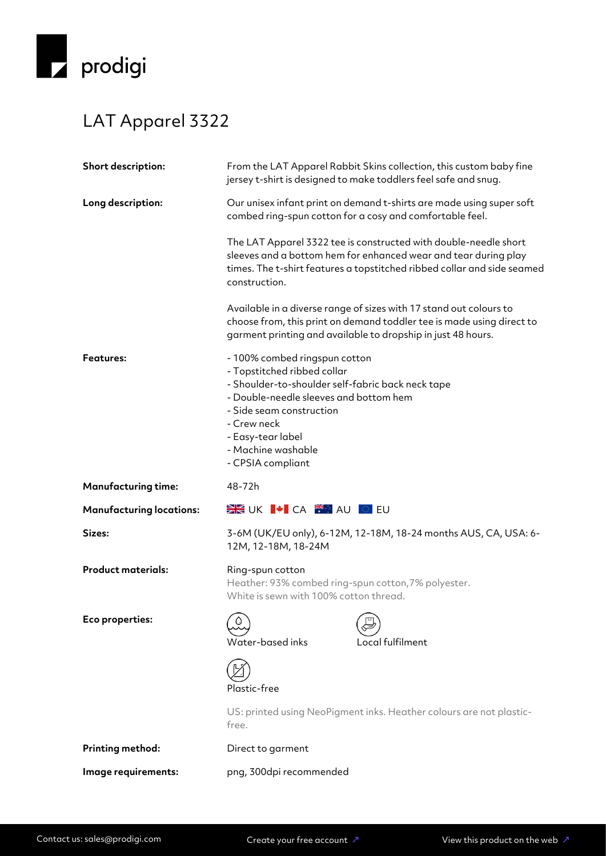

## LAT Apparel 3322

| Short description:              | From the LAT Apparel Rabbit Skins collection, this custom baby fine<br>jersey t-shirt is designed to make toddlers feel safe and snug.                                                                                                                                 |  |
|---------------------------------|------------------------------------------------------------------------------------------------------------------------------------------------------------------------------------------------------------------------------------------------------------------------|--|
| Long description:               | Our unisex infant print on demand t-shirts are made using super soft<br>combed ring-spun cotton for a cosy and comfortable feel.                                                                                                                                       |  |
|                                 | The LAT Apparel 3322 tee is constructed with double-needle short<br>sleeves and a bottom hem for enhanced wear and tear during play<br>times. The t-shirt features a topstitched ribbed collar and side seamed<br>construction.                                        |  |
|                                 | Available in a diverse range of sizes with 17 stand out colours to<br>choose from, this print on demand toddler tee is made using direct to<br>garment printing and available to dropship in just 48 hours.                                                            |  |
| <b>Features:</b>                | - 100% combed ringspun cotton<br>- Topstitched ribbed collar<br>- Shoulder-to-shoulder self-fabric back neck tape<br>- Double-needle sleeves and bottom hem<br>- Side seam construction<br>- Crew neck<br>- Easy-tear label<br>- Machine washable<br>- CPSIA compliant |  |
| <b>Manufacturing time:</b>      | 48-72h                                                                                                                                                                                                                                                                 |  |
| <b>Manufacturing locations:</b> | DE UK I TI CA TIMA AU I DI EU                                                                                                                                                                                                                                          |  |
|                                 |                                                                                                                                                                                                                                                                        |  |
| Sizes:                          | 3-6M (UK/EU only), 6-12M, 12-18M, 18-24 months AUS, CA, USA: 6-<br>12M, 12-18M, 18-24M                                                                                                                                                                                 |  |
| <b>Product materials:</b>       | Ring-spun cotton<br>Heather: 93% combed ring-spun cotton, 7% polyester.<br>White is sewn with 100% cotton thread.                                                                                                                                                      |  |
| Eco properties:                 | Water-based inks<br>Local fulfilment                                                                                                                                                                                                                                   |  |
|                                 | Plastic-free                                                                                                                                                                                                                                                           |  |
|                                 | US: printed using NeoPigment inks. Heather colours are not plastic-<br>free.                                                                                                                                                                                           |  |
| Printing method:                | Direct to garment                                                                                                                                                                                                                                                      |  |
| Image requirements:             | png, 300dpi recommended                                                                                                                                                                                                                                                |  |